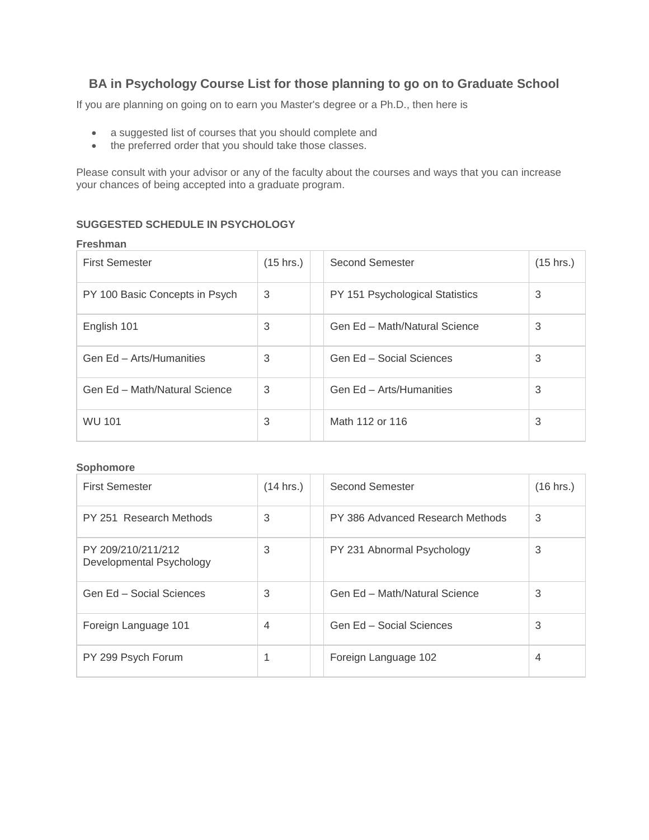# **BA in Psychology Course List for those planning to go on to Graduate School**

If you are planning on going on to earn you Master's degree or a Ph.D., then here is

- a suggested list of courses that you should complete and
- the preferred order that you should take those classes.

Please consult with your advisor or any of the faculty about the courses and ways that you can increase your chances of being accepted into a graduate program.

## **SUGGESTED SCHEDULE IN PSYCHOLOGY**

#### **Freshman**

| <b>First Semester</b>          | $(15 \text{ hrs.})$ | Second Semester                 | $(15$ hrs.) |
|--------------------------------|---------------------|---------------------------------|-------------|
| PY 100 Basic Concepts in Psych | 3                   | PY 151 Psychological Statistics | 3           |
| English 101                    | 3                   | Gen Ed - Math/Natural Science   | 3           |
| Gen Ed - Arts/Humanities       | 3                   | Gen Ed - Social Sciences        | 3           |
| Gen Ed - Math/Natural Science  | 3                   | Gen Ed - Arts/Humanities        | 3           |
| <b>WU 101</b>                  | 3                   | Math 112 or 116                 | 3           |

### **Sophomore**

| <b>First Semester</b>                          | (14 hrs.) | Second Semester                  | (16 hrs.) |
|------------------------------------------------|-----------|----------------------------------|-----------|
| PY 251 Research Methods                        | 3         | PY 386 Advanced Research Methods | 3         |
| PY 209/210/211/212<br>Developmental Psychology | 3         | PY 231 Abnormal Psychology       | 3         |
| Gen Ed - Social Sciences                       | 3         | Gen Ed - Math/Natural Science    | 3         |
| Foreign Language 101                           | 4         | Gen Ed - Social Sciences         | 3         |
| PY 299 Psych Forum                             |           | Foreign Language 102             | 4         |

÷